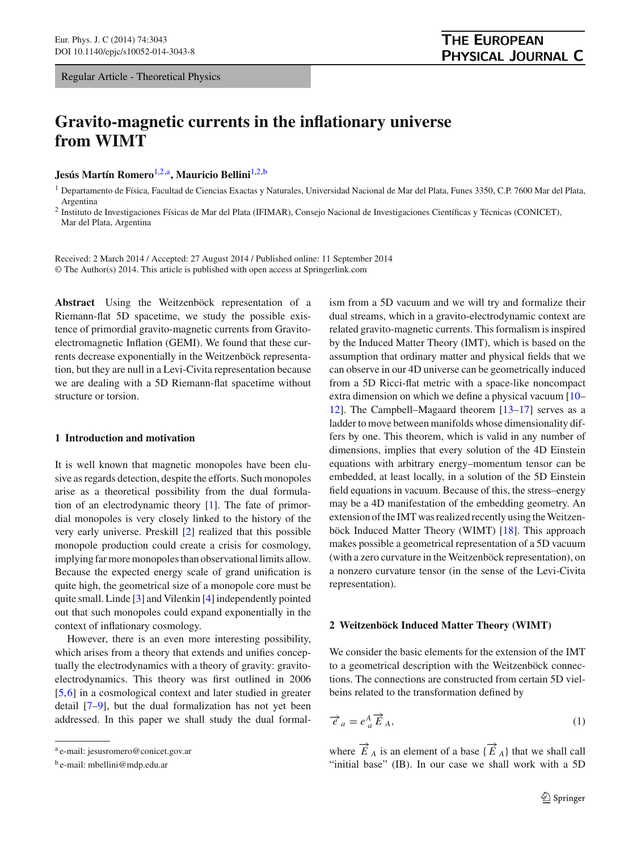# **Gravito-magnetic currents in the inflationary universe from WIMT**

**Jesús Martín Romero**[1,2,](#page-0-0)a**, Mauricio Bellini**[1,2,](#page-0-0)b

<span id="page-0-0"></span><sup>1</sup> Departamento de Física, Facultad de Ciencias Exactas y Naturales, Universidad Nacional de Mar del Plata, Funes 3350, C.P. 7600 Mar del Plata, Argentina

<sup>2</sup> Instituto de Investigaciones Físicas de Mar del Plata (IFIMAR), Consejo Nacional de Investigaciones Científicas y Técnicas (CONICET), Mar del Plata, Argentina

Received: 2 March 2014 / Accepted: 27 August 2014 / Published online: 11 September 2014 © The Author(s) 2014. This article is published with open access at Springerlink.com

**Abstract** Using the Weitzenböck representation of a Riemann-flat 5D spacetime, we study the possible existence of primordial gravito-magnetic currents from Gravitoelectromagnetic Inflation (GEMI). We found that these currents decrease exponentially in the Weitzenböck representation, but they are null in a Levi-Civita representation because we are dealing with a 5D Riemann-flat spacetime without structure or torsion.

## **1 Introduction and motivation**

It is well known that magnetic monopoles have been elusive as regards detection, despite the efforts. Such monopoles arise as a theoretical possibility from the dual formulation of an electrodynamic theory [\[1\]](#page-6-0). The fate of primordial monopoles is very closely linked to the history of the very early universe. Preskill [\[2\]](#page-6-1) realized that this possible monopole production could create a crisis for cosmology, implying far more monopoles than observational limits allow. Because the expected energy scale of grand unification is quite high, the geometrical size of a monopole core must be quite small. Linde [\[3](#page-6-2)] and Vilenkin [\[4](#page-6-3)] independently pointed out that such monopoles could expand exponentially in the context of inflationary cosmology.

However, there is an even more interesting possibility, which arises from a theory that extends and unifies conceptually the electrodynamics with a theory of gravity: gravitoelectrodynamics. This theory was first outlined in 2006 [\[5](#page-6-4),[6\]](#page-6-5) in a cosmological context and later studied in greater detail [\[7](#page-6-6)[–9\]](#page-6-7), but the dual formalization has not yet been addressed. In this paper we shall study the dual formalism from a 5D vacuum and we will try and formalize their dual streams, which in a gravito-electrodynamic context are related gravito-magnetic currents. This formalism is inspired by the Induced Matter Theory (IMT), which is based on the assumption that ordinary matter and physical fields that we can observe in our 4D universe can be geometrically induced from a 5D Ricci-flat metric with a space-like noncompact extra dimension on which we define a physical vacuum [\[10](#page-6-8)– [12](#page-6-9)]. The Campbell–Magaard theorem [\[13](#page-6-10)[–17](#page-6-11)] serves as a ladder to move between manifolds whose dimensionality differs by one. This theorem, which is valid in any number of dimensions, implies that every solution of the 4D Einstein equations with arbitrary energy–momentum tensor can be embedded, at least locally, in a solution of the 5D Einstein field equations in vacuum. Because of this, the stress–energy may be a 4D manifestation of the embedding geometry. An extension of the IMT was realized recently using theWeitzenböck Induced Matter Theory (WIMT) [\[18](#page-6-12)]. This approach makes possible a geometrical representation of a 5D vacuum (with a zero curvature in the Weitzenböck representation), on a nonzero curvature tensor (in the sense of the Levi-Civita representation).

#### **2 Weitzenböck Induced Matter Theory (WIMT)**

We consider the basic elements for the extension of the IMT to a geometrical description with the Weitzenböck connections. The connections are constructed from certain 5D vielbeins related to the transformation defined by

<span id="page-0-1"></span>
$$
\overrightarrow{e}_a = e^A_a \overrightarrow{E}_A,\tag{1}
$$

where  $\overrightarrow{E}_A$  is an element of a base  $\{\overrightarrow{E}_A\}$  that we shall call "initial base" (IB). In our case we shall work with a 5D

<sup>a</sup> e-mail: jesusromero@conicet.gov.ar

<sup>b</sup> e-mail: mbellini@mdp.edu.ar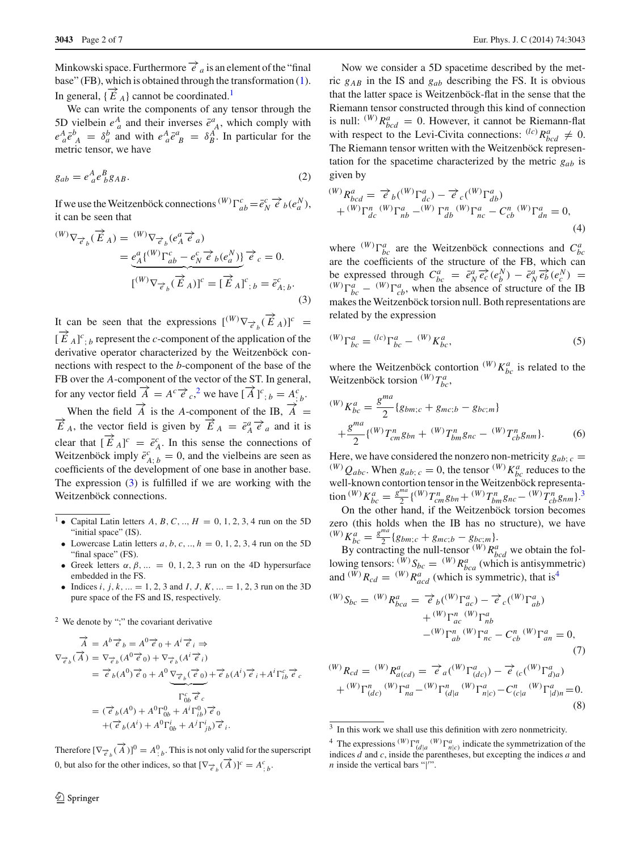Minkowski space. Furthermore  $\overrightarrow{e}_a$  is an element of the "final base" (FB), which is obtained through the transformation [\(1\)](#page-0-1). In general,  $\{\vec{E}_A\}$  cannot be coordinated.<sup>[1](#page-1-0)</sup>

We can write the components of any tensor through the 5D vielbein  $e^A_a$  and their inverses  $\bar{e}^a_A$ , which comply with  $e^A_a \bar{e}^b_A = \delta^b_a$  and with  $e^A_a \bar{e}^a_B = \delta^A_B$ . In particular for the metric tensor, we have

$$
g_{ab} = e^A_{\ a} e^B_{\ b} g_{AB}.\tag{2}
$$

If we use the Weitzenböck connections  $(W) \Gamma_{ab}^c = \bar{e}_N^c \overrightarrow{e}_b(e_a^N)$ , it can be seen that

<span id="page-1-2"></span>
$$
\begin{split} {}^{(W)}\nabla_{\overrightarrow{e}_b}(\overrightarrow{E}_A) &= {}^{(W)}\nabla_{\overrightarrow{e}_b}(e_A^a \overrightarrow{e}_a) \\ &= \underbrace{e_A^a \{ {}^{(W)}\Gamma^c_{ab} - e_N^c \overrightarrow{e}_b(e_a^N) \}}_{\text{[}}\overrightarrow{e}_c = 0. \end{split}
$$
\n
$$
[{}^{(W)}\nabla_{\overrightarrow{e}_b}(\overrightarrow{E}_A)]^c = [\overrightarrow{E}_A]^c, b = \overrightarrow{e}_{A;b}^c.
$$
\n
$$
(3)
$$

It can be seen that the expressions  $[{}^{(W)}\nabla_{\vec{e}_b}(\vec{E}_A)]^c$  =  $[\vec{E}_A]^c$ ; *b* represent the *c*-component of the application of the derivative operator characterized by the Weitzenböck connections with respect to the *b*-component of the base of the FB over the *A*-component of the vector of the ST. In general, for any vector field  $\vec{A} = A^c \vec{e}_c^2$  $\vec{A} = A^c \vec{e}_c^2$ , we have  $[\vec{A}]^c{}_{;b} = A^c{}_{b}$ .

When the field  $\overrightarrow{A}$  is the *A*-component of the IB,  $\overrightarrow{A} = \overrightarrow{E}_A$ , the vector field is given by  $\overrightarrow{E}_A = \overrightarrow{e}_A^a \overrightarrow{e}_a$  and it is clear that  $[\vec{E}_A]^c = \vec{e}_A^c$ . In this sense the connections of Weitzenböck imply  $\overline{e}_{A; b}^c = 0$ , and the vielbeins are seen as coefficients of the development of one base in another base. The expression [\(3\)](#page-1-2) is fulfilled if we are working with the Weitzenböck connections.

- <sup>1</sup> Capital Latin letters *A*, *B*, *C*, .., *H* = 0, 1, 2, 3, 4 run on the 5D "initial space" (IS).
- <span id="page-1-0"></span>• Lowercase Latin letters  $a, b, c, \ldots, h = 0, 1, 2, 3, 4$  run on the 5D "final space" (FS).
- Greek letters  $\alpha$ ,  $\beta$ , ... = 0, 1, 2, 3 run on the 4D hypersurface embedded in the FS.
- Indices *i*, *j*, *k*, ... = 1, 2, 3 and *I*, *J*, *K*, ... = 1, 2, 3 run on the 3D pure space of the FS and IS, respectively.

<sup>2</sup> We denote by ";" the covariant derivative

<span id="page-1-1"></span>
$$
\vec{A} = A^b \vec{e}_b = A^0 \vec{e}_0 + A^i \vec{e}_i \Rightarrow
$$
\n
$$
\nabla_{\vec{e}_b}(\vec{A}) = \nabla_{\vec{e}_b}(A^0 \vec{e}_0) + \nabla_{\vec{e}_b}(A^i \vec{e}_i)
$$
\n
$$
= \vec{e}_b(A^0) \vec{e}_0 + A^0 \underbrace{\nabla_{\vec{e}_b}(\vec{e}_0)}_{\Gamma_{0b}^c \vec{e}_c} + \vec{e}_b(A^i) \vec{e}_i + A^i \Gamma_{ib}^c \vec{e}_c
$$
\n
$$
= (\vec{e}_b(A^0) + A^0 \Gamma_{0b}^0 + A^i \Gamma_{ib}^0) \vec{e}_0
$$
\n
$$
+ (\vec{e}_b(A^i) + A^0 \Gamma_{0b}^i + A^j \Gamma_{jb}^i) \vec{e}_i.
$$

Therefore  $[\nabla_{\vec{e}_b}(\vec{A})]^0 = A^0_{;b}$ . This is not only valid for the superscript 0, but also for the other indices, so that  $[\nabla_{\vec{e}_b}(\vec{A})]^c = A^c_{;b}$ .

Now we consider a 5D spacetime described by the metric *gAB* in the IS and *gab* describing the FS. It is obvious that the latter space is Weitzenböck-flat in the sense that the Riemann tensor constructed through this kind of connection is null:  $^{(W)}R_{bcd}^a = 0$ . However, it cannot be Riemann-flat with respect to the Levi-Civita connections:  $^{(lc)}R_{bcd}^a \neq 0$ . The Riemann tensor written with the Weitzenböck representation for the spacetime characterized by the metric *gab* is given by

<span id="page-1-5"></span>
$$
\begin{aligned} {}^{(W)}R^{a}_{bcd} &= \overrightarrow{e}_b({}^{(W)}\Gamma^{a}_{dc}) - \overrightarrow{e}_c({}^{(W)}\Gamma^{a}_{db}) \\ &+ {}^{(W)}\Gamma^{n}_{dc}{}^{(W)}\Gamma^{a}_{nb} - {}^{(W)}\Gamma^{n}_{db}{}^{(W)}\Gamma^{a}_{nc} - C^{\,n}_{cb}{}^{(W)}\Gamma^{a}_{dn} = 0, \end{aligned} \tag{4}
$$

where  $(W)$   $\Gamma^a_{bc}$  are the Weitzenböck connections and  $C^a_{bc}$ are the coefficients of the structure of the FB, which can be expressed through  $C_{bc}^a = \bar{e}_N^a \bar{e}_c^b (e_b^N) - \bar{e}_N^a \bar{e}_b^b (e_c^N) =$ <br>  $\binom{W}{b} \Gamma_{bc}^a - \binom{W}{c} \Gamma_{cb}^a$ , when the absence of structure of the IB makes the Weitzenböck torsion null. Both representations are related by the expression

<span id="page-1-6"></span>
$$
^{(W)}\Gamma^{a}_{bc} = {}^{(lc)}\Gamma^{a}_{bc} - {}^{(W)}K^{a}_{bc}, \tag{5}
$$

where the Weitzenböck contortion  $(W)$   $K_{bc}^a$  is related to the Weitzenböck torsion  $(W)T_{bc}^a$ ,

$$
{}^{(W)}K_{bc}^a = \frac{g^{ma}}{2} \{g_{bm;c} + g_{mc;b} - g_{bc;m}\}\n+ \frac{g^{ma}}{2} \{ {}^{(W)}T_{cm}^n g_{bn} + {}^{(W)}T_{bm}^n g_{nc} - {}^{(W)}T_{cb}^n g_{nm}\}.
$$
\n(6)

Here, we have considered the nonzero non-metricity  $g_{ab}$ ; *c* = (*W*)  $Q_{abc}$ . When  $g_{ab}$ ; *c* = 0, the tensor (*W*)  $K_{bc}^a$  reduces to the well-known contortion tensor in the Weitzenböck representa- $\lim_{b \to \infty} \left( \frac{W}{E_b} \right) K_{bc}^a = \frac{g^{ma}}{2} \left\{ \frac{(W)}{T_{cm}^n} g_{bn} + \frac{(W)}{T_{bm}^n} g_{nc} - \frac{(W)}{T_{cb}^n} g_{nm} \right\}.$ 

On the other hand, if the Weitzenböck torsion becomes zero (this holds when the IB has no structure), we have  $(W)$ *K*<sub>*bc*</sub> =  $\frac{g^{ma}}{2}$ {*g<sub>bm;c</sub>* + *g<sub>mc;b</sub>* - *g<sub>bc;m</sub>*}.

By contracting the null-tensor  $^{(W)}R^a_{bcd}$  we obtain the following tensors:  $\binom{W}{W}S_{bc} = \binom{W}{R}R^a_{bca}$  (which is antisymmetric) and  $^{(W)}R_{cd} = ^{(W)}R_{acd}^a$  (which is symmetric), that is<sup>4</sup>

<span id="page-1-7"></span>
$$
\begin{aligned} {}^{(W)}S_{bc} = {}^{(W)}R^{a}_{bca} &= \overrightarrow{e}_{b}({}^{(W)}\Gamma^{a}_{ac}) - \overrightarrow{e}_{c}({}^{(W)}\Gamma^{a}_{ab}) \\ &+ {}^{(W)}\Gamma^{a}_{ac} {}^{(W)}\Gamma^{a}_{nb} \\ - {}^{(W)}\Gamma^{n}_{ab} {}^{(W)}\Gamma^{a}_{nc} - C^{n}_{cb} {}^{(W)}\Gamma^{a}_{an} = 0, \end{aligned} \tag{7}
$$

<span id="page-1-8"></span>
$$
\begin{aligned} {}^{(W)}R_{cd} &= {}^{(W)}R_{a(cd)}^a = \overrightarrow{e}_a({}^{(W)}\Gamma^a_{(dc)}) - \overrightarrow{e}_{(c)}({}^{(W)}\Gamma^a_{d)a}) \\ &+ {}^{(W)}\Gamma^n_{(dc)} {}^{(W)}\Gamma^a_{na} - {}^{(W)}\Gamma^n_{(d|a} {}^{(W)}\Gamma^a_{n|c)} - C^n_{(c|a} {}^{(W)}\Gamma^a_{|d)n} = 0. \end{aligned} \tag{8}
$$

 $3\,$  In this work we shall use this definition with zero nonmetricity.

<span id="page-1-4"></span><span id="page-1-3"></span><sup>&</sup>lt;sup>4</sup> The expressions  $^{(W)}\Gamma^a_{(d|a)}$   $^{(W)}\Gamma^a_{n|c)}$  indicate the symmetrization of the indices *d* and *c*, inside the parentheses, but excepting the indices *a* and *n* inside the vertical bars " $\vert$ ".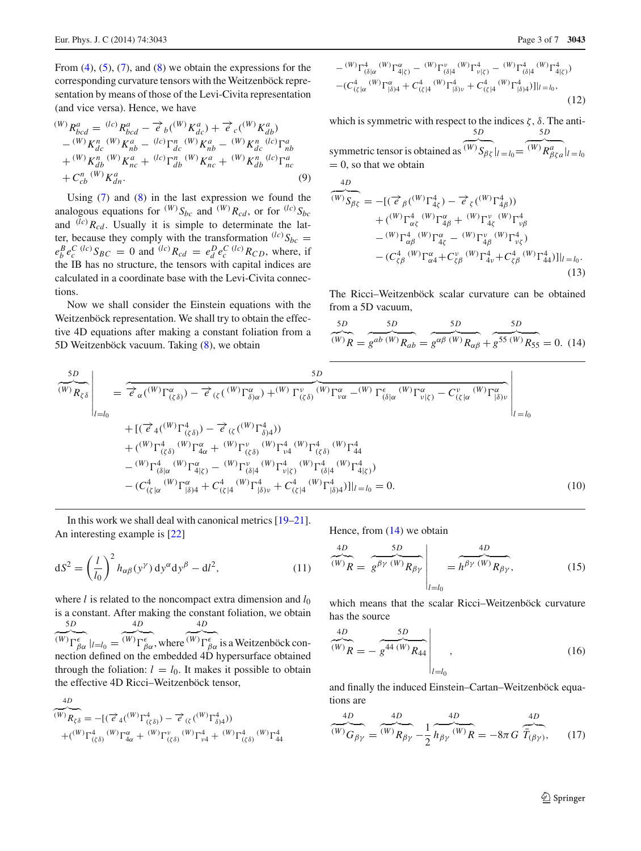From  $(4)$ ,  $(5)$ ,  $(7)$ , and  $(8)$  we obtain the expressions for the corresponding curvature tensors with the Weitzenböck representation by means of those of the Levi-Civita representation (and vice versa). Hence, we have

$$
\begin{split} {}^{(W)}R_{bcd}^{a} &= {}^{(lc)}R_{bcd}^{a} - \vec{e}_b({}^{(W)}K_{dc}^{a}) + \vec{e}_c({}^{(W)}K_{db}^{a}) \\ &- {}^{(W)}K_{dc}^{n} {}^{(W)}K_{nb}^{a} - {}^{(lc)}\Gamma_{dc}^{n} {}^{(W)}K_{nb}^{a} - {}^{(W)}K_{dc}^{n} {}^{(lc)}\Gamma_{nb}^{a} \\ &+ {}^{(W)}K_{db}^{n} {}^{(W)}K_{nc}^{a} + {}^{(lc)}\Gamma_{db}^{n} {}^{(W)}K_{nc}^{a} + {}^{(W)}K_{db}^{n} {}^{(lc)}\Gamma_{nc}^{a} \\ &+ C_{cb}^{n} {}^{(W)}K_{dn}^{a} . \end{split} \tag{9}
$$

Using  $(7)$  and  $(8)$  in the last expression we found the analogous equations for  $^{(W)}S_{bc}$  and  $^{(W)}R_{cd}$ , or for  $^{(lc)}S_{bc}$ and  $\overline{(\ell c)}$   $R_{cd}$ . Usually it is simple to determinate the latter, because they comply with the transformation  $^{(lc)}S_{bc}$  =  $e_b^B e_c^C$  (*lc*)  $S_{BC} = 0$  and <sup>(*lc*)</sup>*R<sub>cd</sub>* =  $e_d^D e_c^C$  (*lc*)*R<sub>CD</sub>*, where, if the IB has no structure, the tensors with capital indices are calculated in a coordinate base with the Levi-Civita connections.

Now we shall consider the Einstein equations with the Weitzenböck representation. We shall try to obtain the effective 4D equations after making a constant foliation from a 5D Weitzenböck vacuum. Taking [\(8\)](#page-1-8), we obtain

$$
- {}^{(W)}\Gamma^4_{(\delta|\alpha} {}^{(W)}\Gamma^{\alpha}_{4|\zeta)} - {}^{(W)}\Gamma^{\upsilon}_{(\delta|4} {}^{(W)}\Gamma^4_{\upsilon|\zeta)} - {}^{(W)}\Gamma^4_{(\delta|4} {}^{(W)}\Gamma^4_{4|\zeta)})
$$
  

$$
- (C^4_{(\zeta|\alpha} {}^{(W)}\Gamma^{\alpha}_{|\delta)4} + C^4_{(\zeta|4} {}^{(W)}\Gamma^4_{|\delta)\upsilon} + C^4_{(\zeta|4} {}^{(W)}\Gamma^4_{|\delta)4})] \Big|_{l = l_0},
$$
  
(12)

which is symmetric with respect to the indices  $\zeta$ ,  $\delta$ . The anti- $\frac{5D}{2}$  $\frac{5D}{2}$ 

symmetric tensor is obtained as  $(W)$   $S_{\beta\zeta}|_{l=l_0}=$  $(W)$ *R*<sup>*a*</sup><sub> $\beta \zeta a$ </sup> $|l = l_0$ </sub>  $= 0$ , so that we obtain

$$
\frac{4D}{(W)}\overline{S_{\beta\xi}} = -[(\overrightarrow{e}_{\beta}({}^{(W)}\Gamma_{4\xi}^{4}) - \overrightarrow{e}_{\xi}({}^{(W)}\Gamma_{4\beta}^{4})) + ({}^{(W)}\Gamma_{\alpha\xi}^{4}{}^{(W)}\Gamma_{4\beta}^{\alpha} + {}^{(W)}\Gamma_{4\xi}^{v}{}^{(W)}\Gamma_{\nu\beta}^{4} - {}^{(W)}\Gamma_{\alpha\beta}^{4}{}^{(W)}\Gamma_{4\xi}^{\alpha} - {}^{(W)}\Gamma_{\mu\beta}^{v}{}^{(W)}\Gamma_{\nu\xi}^{4}) - (C_{\zeta\beta}^{4}{}^{(W)}\Gamma_{\alpha4}^{\alpha} + C_{\zeta\beta}^{v}{}^{(W)}\Gamma_{4\nu}^{4} + C_{\zeta\beta}^{4}{}^{(W)}\Gamma_{44}^{4})] |_{l=l_{0}}.
$$
\n(13)

The Ricci–Weitzenböck scalar curvature can be obtained from a 5D vacuum,

<span id="page-2-0"></span>
$$
\frac{5D}{(W)}\frac{5D}{R} = \frac{5D}{g^{ab}(W)}R_{ab} = \frac{5D}{g^{\alpha\beta}(W)}R_{\alpha\beta} + \frac{5D}{g^{55}(W)}R_{55} = 0.
$$
 (14)

$$
\frac{5D}{(W)R_{\zeta\delta}}\Big|_{l=l_0} = \frac{5D}{e_{\alpha}((W)\Gamma^{\alpha}_{(\zeta\delta)}) - e_{(\zeta}((W)\Gamma^{\alpha}_{\delta)\alpha}) + (W)\Gamma^{\nu}_{(\zeta\delta)}((W)\Gamma^{\alpha}_{\omega} - (W)\Gamma^{\epsilon}_{(\delta|\alpha}(W)\Gamma^{\alpha}_{\nu|\zeta}) - C^{\nu}_{(\zeta|\alpha}(W)\Gamma^{\alpha}_{|\delta)\nu}} \Big|_{l=l_0} + [(\overrightarrow{e}_4((W)\Gamma^4_{(\zeta\delta)}) - \overrightarrow{e}_{{(\zeta}((W)\Gamma^4_{\delta)\mu})}) + ((W)\Gamma^4_{(\zeta\delta)}((W)\Gamma^{\alpha}_{\nu|\zeta}) + (W)\Gamma^{\nu}_{(\zeta\delta)}((W)\Gamma^4_{\nu|\zeta}) + (W)\Gamma^4_{(\zeta\delta)}((W)\Gamma^4_{\nu|\zeta}) + (W)\Gamma^4_{(\zeta\delta)}((W)\Gamma^4_{|\zeta\delta} - (W)\Gamma^4_{(\delta|\alpha}(W)\Gamma^4_{\nu|\zeta}) - (W)\Gamma^4_{(\delta|\alpha}(W)\Gamma^4_{\nu|\zeta}) + C^4_{(\zeta|\alpha}(W)\Gamma^4_{|\delta)\mu})]_{l=l_0} = 0.
$$
\n(10)

In this work we shall deal with canonical metrics [\[19](#page-6-14)[–21](#page-6-15)]. An interesting example is [\[22\]](#page-6-16)

$$
dS2 = \left(\frac{l}{l_0}\right)^2 h_{\alpha\beta}(y^{\gamma}) dy^{\alpha} dy^{\beta} - dl^2,
$$
\n(11)

where *l* is related to the noncompact extra dimension and  $l_0$ is a constant. After making the constant foliation, we obtain <sup>5</sup>*<sup>D</sup>* -

 $\frac{D}{2}$  $({}^{(W)}\Gamma^\epsilon_{\beta\alpha}\mid_{l=l_0}$  =  $\frac{4D}{2}$  $({}^{(W)}\Gamma^{\epsilon}_{\beta\alpha}$ , where  $({}^{(W)}\Gamma^{\epsilon}_{\beta\alpha}$  is a Weitzenböck con- $\frac{4D}{2}$ nection defined on the embedded 4D hypersurface obtained through the foliation:  $l = l_0$ . It makes it possible to obtain the effective 4D Ricci–Weitzenböck tensor,

$$
\frac{4D}{(W)}\n_{\zeta\delta} = -[(\vec{e}_4(^{(W)}\Gamma^4_{(\zeta\delta)}) - \vec{e}_6(^{(W)}\Gamma^4_{\delta)}])\n+ (W)\Gamma^4_{(\zeta\delta)}(W)\Gamma^4_{4\alpha} + (W)\Gamma^6_{(\zeta\delta)}(W)\Gamma^4_{\nu4} + (W)\Gamma^4_{(\zeta\delta)}(W)\Gamma^4_{44}\n\end{aligned}
$$

Hence, from [\(14\)](#page-2-0) we obtain

$$
\overbrace{(w)}^{4D} \overbrace{R} = \overbrace{g^{\beta \gamma} (w)}^{5D} R_{\beta \gamma} \Bigg|_{l=l_0} = \overbrace{h^{\beta \gamma} (w)}^{4D} R_{\beta \gamma}, \tag{15}
$$

which means that the scalar Ricci–Weitzenböck curvature has the source

$$
\overbrace{(W)}^{4D} = -\overbrace{g^{44} \, (W)}^{5D} R_{44} \Bigg|_{l=l_0},\tag{16}
$$

and finally the induced Einstein–Cartan–Weitzenböck equations are

<span id="page-2-1"></span>
$$
\overbrace{(W)}^{4D} \overbrace{G_{\beta\gamma}}^{4D} = \overbrace{(W)}^{4D} \overbrace{R_{\beta\gamma}}^{4D} - \frac{1}{2} \overbrace{h_{\beta\gamma}}^{4D} \overbrace{(W)}^{4D} \overbrace{R} = -8\pi G \overbrace{\bar{T}_{(\beta\gamma)}^{4D}}, \qquad (17)
$$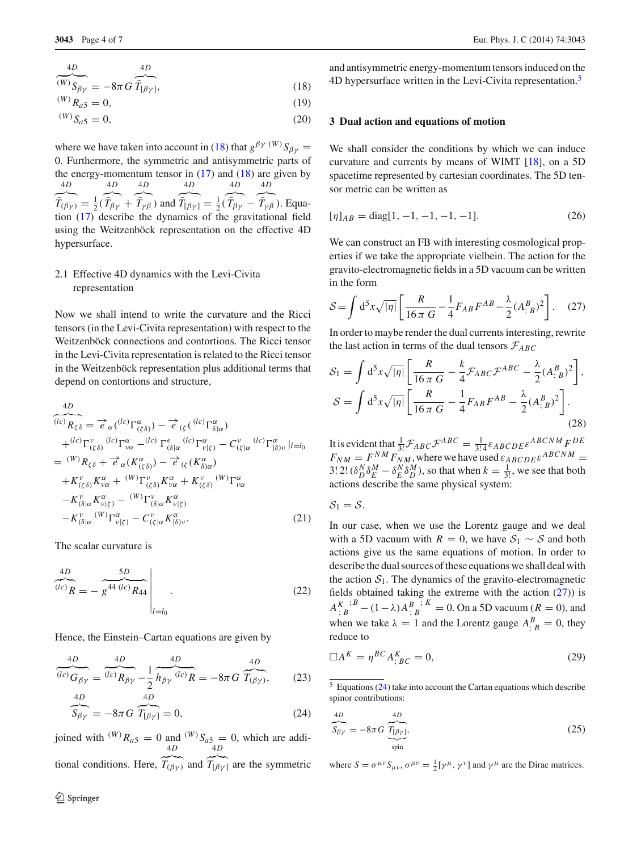$$
\overbrace{(W)}^{4D} \overbrace{S_{\beta\gamma}}^{\qquad 4D} = -8\pi G \overbrace{\overline{T}_{[\beta\gamma]}^{\qquad 4D}},\tag{18}
$$

<span id="page-3-0"></span>
$$
{}^{(W)}R_{a5} = 0,
$$
 (19)

$$
\begin{array}{c}\n\text{(W)} \text{S} & = 0 \\
\text{(20)}\n\end{array}
$$

$$
W^{\{W\}}S_{a5} = 0,\t\t(20)
$$

where we have taken into account in [\(18\)](#page-3-0) that  $g^{\beta \gamma}$ <sup>(*W*)</sup>*S*<sub> $\beta \gamma$ </sub> = 0. Furthermore, the symmetric and antisymmetric parts of the energy-momentum tensor in  $(17)$  and  $(18)$  are given by  $4D$  $\stackrel{\nu}{-}$  $\bar{T}_{(\beta\gamma)} = \frac{1}{2}$  $\frac{4D}{2}$  $\overline{a}$  $\bar{T}_{\beta\gamma}$  + 4*D* - $\overline{a}$  $(\bar{T}_{\gamma\beta})$  and <sup>4</sup>*<sup>D</sup>* -└  $\bar{T}_{[\beta\gamma]} = \frac{1}{2} (\bar{T}_{\beta\gamma} -$ 4*D* - 4*D*  $\frac{4D}{2}$  $\bar{T}_{\gamma\beta}$ ). Equation [\(17\)](#page-2-1) describe the dynamics of the gravitational field using the Weitzenböck representation on the effective 4D hypersurface.

# 2.1 Effective 4D dynamics with the Levi-Civita representation

Now we shall intend to write the curvature and the Ricci tensors (in the Levi-Civita representation) with respect to the Weitzenböck connections and contortions. The Ricci tensor in the Levi-Civita representation is related to the Ricci tensor in the Weitzenböck representation plus additional terms that depend on contortions and structure,

$$
\frac{4D}{(lc)}\overline{R_{\zeta\delta}} = \overrightarrow{e}_{\alpha}(^{(lc)}\Gamma^{\alpha}_{(\zeta\delta)}) - \overrightarrow{e}_{(\zeta)}({^{(lc)}\Gamma^{\alpha}_{\delta})\alpha})
$$
\n
$$
+^{(lc)}\Gamma^{\nu}_{(\zeta\delta)}({^{(lc)}\Gamma^{\alpha}_{\nu\alpha}} - {^{(lc)}\Gamma^{\epsilon}_{(\delta|\alpha}}({^{(lc)}\Gamma^{\alpha}_{\nu|\zeta})} - C^{\nu}_{(\zeta|\alpha}({^{(lc)}\Gamma^{\alpha}_{\beta})\nu}|_{l=l_0})
$$
\n
$$
= {^{(W)}R_{\zeta\delta}} + \overrightarrow{e}_{\alpha}(K^{\alpha}_{(\zeta\delta)}) - \overrightarrow{e}_{(\zeta)}(K^{\alpha}_{\delta)\alpha})
$$
\n
$$
+ K^{\nu}_{(\zeta\delta)}K^{\alpha}_{\nu\alpha} + {^{(W)}\Gamma^{\nu}_{(\zeta\delta)}}K^{\alpha}_{\nu\alpha} + K^{\nu}_{(\zeta\delta)}({^{W})\Gamma^{\alpha}_{\nu\alpha}}
$$
\n
$$
- K^{\nu}_{(\delta|\alpha}K^{\alpha}_{\nu|\zeta)} - {^{(W)}\Gamma^{\nu}_{(\delta|\alpha}}K^{\alpha}_{\nu|\zeta)}
$$
\n
$$
- K^{\nu}_{(\delta|\alpha}({^{W})\Gamma^{\alpha}_{\nu|\zeta})} - C^{\nu}_{(\zeta|\alpha}K^{\alpha}_{\beta)\nu}.
$$
\n(21)

The scalar curvature is

$$
\overbrace{a^{(1c)}}^{4D} R = - \overbrace{g^{44 (l c)}}^{5D} R_{44} \overbrace{a_{l=l_0}}^{1}
$$
 (22)

Hence, the Einstein–Cartan equations are given by

<span id="page-3-3"></span>
$$
\frac{{}^{4D}}{(\ln G)}_{\beta\gamma} = \frac{{}^{4D}}{(\ln R_{\beta\gamma} - \frac{1}{2} \ln_{\beta\gamma} \frac{{}^{4D}}{(\ln R)} = -8\pi G} \frac{{}^{4D}}{T_{(\beta\gamma)}},\tag{23}
$$

$$
\overbrace{S_{\beta\gamma}}^{4D} = -8\pi G \overbrace{T_{[\beta\gamma]}}^{4D} = 0, \tag{24}
$$

joined with  $^{(W)}R_{a5} = 0$  and  $^{(W)}S_{a5} = 0$ , which are additional conditions. Here,  $T_{(\beta\gamma)}$  and  $T_{[\beta\gamma]}$  are the symmetric  $\overline{4D}$   $\overline{4D}$ 

and antisymmetric energy-momentum tensors induced on the 4D hypersurface written in the Levi-Civita representation.<sup>5</sup>

## **3 Dual action and equations of motion**

We shall consider the conditions by which we can induce curvature and currents by means of WIMT [\[18\]](#page-6-12), on a 5D spacetime represented by cartesian coordinates. The 5D tensor metric can be written as

<span id="page-3-5"></span>
$$
[\eta]_{AB} = \text{diag}[1, -1, -1, -1, -1].\tag{26}
$$

We can construct an FB with interesting cosmological properties if we take the appropriate vielbein. The action for the gravito-electromagnetic fields in a 5D vacuum can be written in the form  $\overline{a}$ 

<span id="page-3-2"></span>
$$
S = \int d^5 x \sqrt{|\eta|} \left[ \frac{R}{16 \pi G} - \frac{1}{4} F_{AB} F^{AB} - \frac{\lambda}{2} (A_{;B}^B)^2 \right].
$$
 (27)

In order to maybe render the dual currents interesting, rewrite  $\frac{1}{2}$ 

the last action in terms of the dual tensors 
$$
\mathcal{F}_{ABC}
$$
  
\n
$$
\mathcal{S}_1 = \int d^5 x \sqrt{|\eta|} \left[ \frac{R}{16\pi G} - \frac{k}{4} \mathcal{F}_{ABC} \mathcal{F}^{ABC} - \frac{\lambda}{2} (A^B_{;B})^2 \right],
$$
\n
$$
\mathcal{S} = \int d^5 x \sqrt{|\eta|} \left[ \frac{R}{16\pi G} - \frac{1}{4} F_{AB} F^{AB} - \frac{\lambda}{2} (A^B_{;B})^2 \right].
$$
\n(28)

It is evident that  $\frac{1}{3!} \mathcal{F}_{ABC} \mathcal{F}^{ABC} = \frac{1}{3!4} \varepsilon_{ABCDE} \varepsilon^{ABCNM} F^{DE}$  $F_{NM} = F^{NM} F_{NM}$ , where we have used  $\varepsilon_{ABCDE} \varepsilon^{ABCNM} =$ 3! 2!  $(\delta_D^N \delta_E^M - \delta_E^N \delta_D^M)$ , so that when  $k = \frac{1}{3!}$ , we see that both actions describe the same physical system:

 $S_1 = S$ .

In our case, when we use the Lorentz gauge and we deal with a 5D vacuum with  $R = 0$ , we have  $S_1 \sim S$  and both actions give us the same equations of motion. In order to describe the dual sources of these equations we shall deal with the action  $S_1$ . The dynamics of the gravito-electromagnetic fields obtained taking the extreme with the action [\(27\)](#page-3-2)) is  $A^{K}$ ;  ${}^{B}$  − (1 −  $\lambda$ ) $A^{B}$ ;  ${}^{K}$  = 0. On a 5D vacuum (*R* = 0), and when we take  $\lambda = 1$  and the Lorentz gauge  $A_{;B}^B = 0$ , they reduce to

<span id="page-3-4"></span>
$$
\Box A^K = \eta^{BC} A^K_{;BC} = 0,\tag{29}
$$

<span id="page-3-1"></span> $5$  Equations [\(24\)](#page-3-3) take into account the Cartan equations which describe spinor contributions:

$$
\overbrace{S_{\beta\gamma}}^{4D} = -8\pi G \underbrace{\overbrace{T_{[\beta\gamma)}}^{4D}}_{\text{spin}},
$$
\n(25)

where  $S = \sigma^{\mu\nu} S_{\mu\nu}$ ,  $\sigma^{\mu\nu} = \frac{1}{2} [\gamma^{\mu}, \gamma^{\nu}]$  and  $\gamma^{\mu}$  are the Dirac matrices.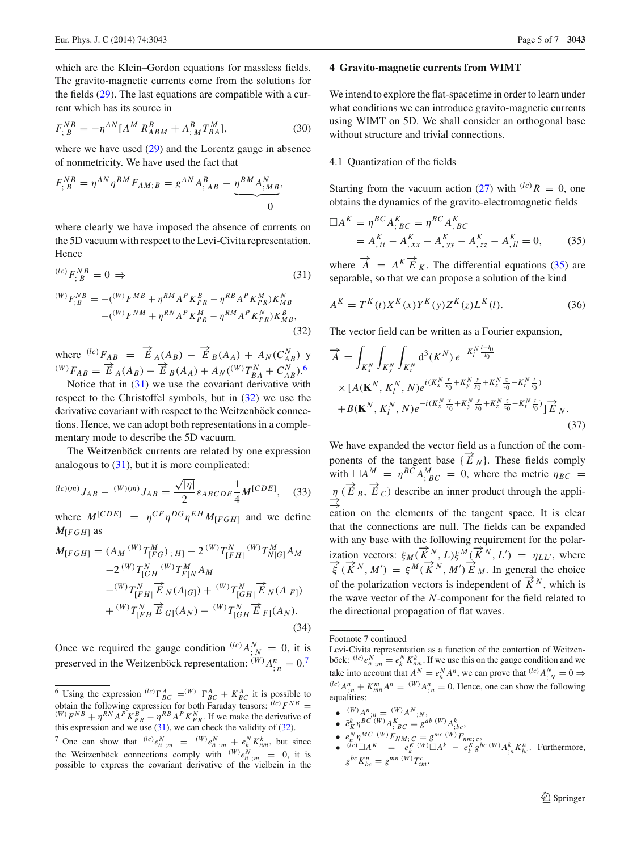which are the Klein–Gordon equations for massless fields. The gravito-magnetic currents come from the solutions for the fields [\(29\)](#page-3-4). The last equations are compatible with a current which has its source in

$$
F_{;B}^{NB} = -\eta^{AN} [A^M R_{ABM}^B + A_{;M}^B T_{BA}^M],
$$
\n(30)

where we have used  $(29)$  and the Lorentz gauge in absence of nonmetricity. We have used the fact that

$$
F_{;B}^{NB} = \eta^{AN} \eta^{BM} F_{AM;B} = g^{AN} A_{;AB}^B - \underbrace{\eta^{BM} A_{;MB}^N}_{0},
$$

where clearly we have imposed the absence of currents on the 5D vacuum with respect to the Levi-Civita representation. Hence

<span id="page-4-2"></span><span id="page-4-1"></span>
$$
\begin{aligned} {}^{(lc)}F_{;B}^{NB} &= 0 \Rightarrow \\ {}^{(W)}F_{;B}^{NB} &= -({}^{(W)}F^{MB} + \eta^{RM}A^PK_{PR}^B - \eta^{RB}A^PK_{PR}^M)K_{MB}^N \\ &-({}^{(W)}F^{NM} + \eta^{RN}A^PK_{PR}^M - \eta^{RM}A^PK_{PR}^N)K_{MB}^B, \end{aligned} \tag{32}
$$

where  $^{(lc)}F_{AB} = \overrightarrow{E}_A(A_B) - \overrightarrow{E}_B(A_A) + A_N(C_{AB}^N)$  y  $(W) F_{AB} = \overrightarrow{E}_A(A_B) - \overrightarrow{E}_B(A_A) + A_N(^{(W)}T_{BA}^N + C_{AB}^N).$ 

Notice that in  $(31)$  we use the covariant derivative with respect to the Christoffel symbols, but in  $(32)$  we use the derivative covariant with respect to the Weitzenböck connections. Hence, we can adopt both representations in a complementary mode to describe the 5D vacuum.

The Weitzenböck currents are related by one expression analogous to  $(31)$ , but it is more complicated:

$$
{}^{(lc)(m)}J_{AB} - {}^{(W)(m)}J_{AB} = \frac{\sqrt{|\eta|}}{2} \varepsilon_{ABCDE} \frac{1}{4} M^{[CDE]}, \quad (33)
$$

where  $M^{[CDE]} = \eta^{CF} \eta^{DG} \eta^{EH} M_{[FGH]}$  and we define  $M$ [*FGH*] as

$$
M_{[FGH]} = (A_M {}^{(W)}T^M_{[FG]}, H) - 2 {}^{(W)}T^N_{[FH]} {}^{(W)}T^M_{N[G]} A_M
$$
  
\n
$$
-2 {}^{(W)}T^M_{[GH]} {}^{(W)}T^M_{f]N} A_M
$$
  
\n
$$
- {}^{(W)}T^N_{[FH]} \overrightarrow{E}_N (A_{|G]}) + {}^{(W)}T^N_{[GH]} \overrightarrow{E}_N (A_{|F]})
$$
  
\n
$$
+ {}^{(W)}T^N_{[FH]} \overrightarrow{E}_G](A_N) - {}^{(W)}T^N_{[GH]} \overrightarrow{E}_F](A_N).
$$
  
\n(34)

Once we required the gauge condition  $^{(lc)}A^N$  = 0, it is preserved in the Weitzenböck representation:  $^{(W)}A^n_{;n} = 0$ .<sup>[7](#page-4-3)</sup>

#### **4 Gravito-magnetic currents from WIMT**

We intend to explore the flat-spacetime in order to learn under what conditions we can introduce gravito-magnetic currents using WIMT on 5D. We shall consider an orthogonal base without structure and trivial connections.

#### 4.1 Quantization of the fields

Starting from the vacuum action [\(27\)](#page-3-2) with  $(lc)$   $R = 0$ , one obtains the dynamics of the gravito-electromagnetic fields

<span id="page-4-4"></span>
$$
\Box A^K = \eta^{BC} A_{;BC}^K = \eta^{BC} A_{;BC}^K
$$
  
=  $A_{,tt}^K - A_{,xx}^K - A_{,yy}^K - A_{,zz}^K - A_{,ll}^K = 0,$  (35)

where  $\overrightarrow{A} = A^K \overrightarrow{E}_K$ . The differential equations [\(35\)](#page-4-4) are separable, so that we can propose a solution of the kind

$$
A^{K} = T^{K}(t)X^{K}(x)Y^{K}(y)Z^{K}(z)L^{K}(l).
$$
 (36)

The vector field can be written as a Fourier expansion,

<span id="page-4-5"></span>
$$
\overrightarrow{A} = \int_{K_x^N} \int_{K_y^N} \int_{K_z^N} d^3(K^N) e^{-K_l^N \frac{l-l_0}{l_0}} \times [A(\mathbf{K}^N, K_l^N, N) e^{i(K_x^N \frac{x}{x_0} + K_y^N \frac{y}{y_0} + K_z^N \frac{z}{z_0} - K_l^N \frac{t}{l_0})} \times B(\mathbf{K}^N, K_l^N, N) e^{-i(K_x^N \frac{x}{x_0} + K_y^N \frac{y}{y_0} + K_z^N \frac{z}{z_0} - K_l^N \frac{t}{l_0})}] \overrightarrow{E}_N.
$$
\n(37)

We have expanded the vector field as a function of the components of the tangent base  $\{\overrightarrow{E}_N\}$ . These fields comply with  $\Box A^M = \eta^{BC} A^M_{;BC} = 0$ , where the metric  $\eta_{BC} =$  $\Rightarrow$ <sup>*n*</sup>( $\overrightarrow{E}$  *B*,  $\overrightarrow{E}$ *C*) describe an inner product through the application on the elements of the tangent space. It is clear that the connections are null. The fields can be expanded with any base with the following requirement for the polarization vectors:  $\xi_M(\vec{K}^N, L)\xi^M(\vec{K}^N, L)$ ization vectors:  $\xi_M$  ( $K^N$ ,  $L$ ) $\xi^M$  ( $K^N$ ,  $L'$ ) =  $\eta_{LL'}$ , where  $\overrightarrow{\xi}$  ( $\overrightarrow{K}^N$ ,  $M'$ ) =  $\xi^M$  ( $\overrightarrow{K}^N$ ,  $M'$ )  $\overrightarrow{E}_M$ . In general the choice of the polarization vectors is independent of  $\overline{K}^N$ , which is the wave vector of the *N*-component for the field related to the directional propagation of flat waves.

- $\bullet$   $(W) A^n_{;n} = (W) A^N_{;N}$
- $\epsilon \epsilon_K^k \eta^{BC}$  (*W*)  $A^K_{;BC} = g^{ab}$  (*W*)  $A^k_{;bc}$
- 
- $e_n^N \eta^{MC(W)} F_{NM; C} = g^{mc(W)} F_{nm; c}$ <br>•  ${}^{(lc)} \Box A^K = e_k^K {}^{(W)} \Box A^k e_k^K g^{bc(W)} A_{;n}^k K_{bc}^n$ . Furthermore,  $g^{bc} K_{bc}^n = g^{mn} (W) T_{cm}^c$ .

<span id="page-4-0"></span><sup>&</sup>lt;sup>6</sup> Using the expression <sup>(lc)</sup>  $\Gamma_{BC}^{A} = (W) \Gamma_{BC}^{A} + K_{BC}^{A}$  it is possible to obtain the following expression for both Faraday tensors:  $^{(lc)}F^{NB}$  =  $^{(W)}F^{NB} + \eta^{RN}A^P K_{PR}^B - \eta^{RB}A^P K_{PR}^N$ . If we make the derivative of this expression and we use  $(31)$ , we can check the validity of  $(32)$ .

<span id="page-4-3"></span><sup>&</sup>lt;sup>7</sup> One can show that  $^{(lc)}e_n^N$ ;*m* =  $^{(W)}e_n^N$ ;*m* +  $e_k^N K_{nm}^k$ , but since the Weitzenböck connections comply with  $(W)e_n^N$ ;  $m = 0$ , it is possible to express the covariant derivative of the vielbein in the

Footnote 7 continued

Levi-Civita representation as a function of the contortion of Weitzenböck:  $^{(lc)}e_n^N$ ;  $_m = e_k^N K_{nm}^k$ . If we use this on the gauge condition and we take into account that  $A^N = e_n^N A^n$ , we can prove that  $\binom{l}{k} A_{;N}^N = 0 \Rightarrow$  $\binom{d}{x}$  *A*<sup>n</sup><sub>; *n*</sub> + *K*<sub>*mn*</sub> *A*<sup>n</sup> = <sup>(*W*</sup>)*A*<sup>n</sup><sub>; *n*</sub> = 0. Hence, one can show the following equalities: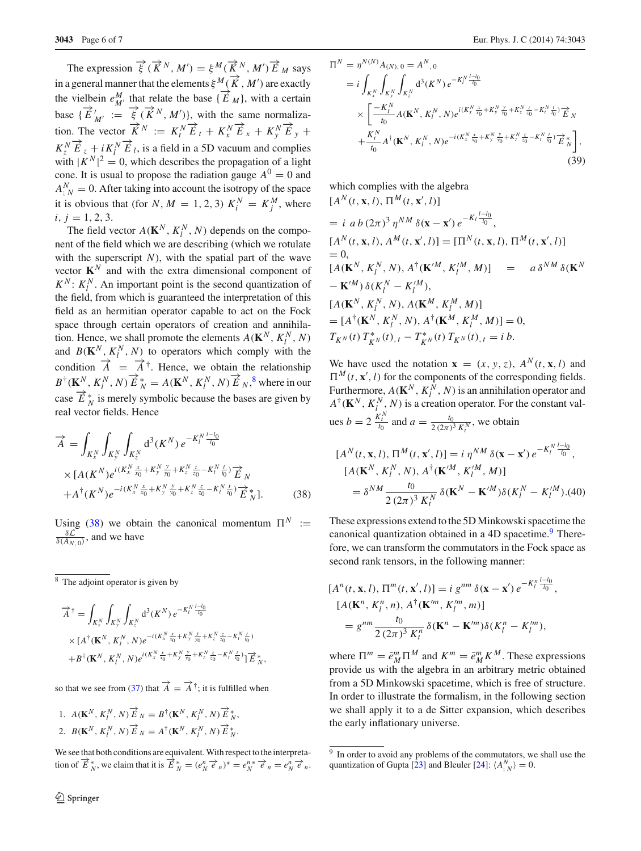The expression  $\overrightarrow{\xi}$  ( $\overrightarrow{K}^N$ ,  $M'$ ) =  $\xi^M$ ( $\overrightarrow{K}^N$ ,  $M'$ )  $\overrightarrow{E}$   $_M$  says in a general manner that the elements  $\xi^{M}(\vec{K}, M')$  are exactly the vielbein  $e_M^M$  that relate the base  $\{\overrightarrow{E}_M\}$ , with a certain base  $\{\overrightarrow{E}_{M'} := \overrightarrow{\xi}(\overrightarrow{K}^N, M')\}$ , with the same normalization. The vector  $\overrightarrow{K}^N := K_t^N \overrightarrow{E}_t + K_x^N \overrightarrow{E}_x + K_y^N \overrightarrow{E}_y +$  $K_z^N \overrightarrow{E}_z + i K_l^N \overrightarrow{E}_l$ , is a field in a 5D vacuum and complies with  $|K^N|^2 = 0$ , which describes the propagation of a light cone. It is usual to propose the radiation gauge  $A^0 = 0$  and  $A_{;N}^{N} = 0$ . After taking into account the isotropy of the space it is obvious that (for *N*,  $M = 1, 2, 3$ )  $K_i^N = K_j^M$ , where  $i, j = 1, 2, 3.$ 

The field vector  $A(\mathbf{K}^N, K_l^N, N)$  depends on the component of the field which we are describing (which we rotulate with the superscript  $N$ ), with the spatial part of the wave vector  $K^N$  and with the extra dimensional component of  $K^N$ :  $K_l^N$ . An important point is the second quantization of the field, from which is guaranteed the interpretation of this field as an hermitian operator capable to act on the Fock space through certain operators of creation and annihilation. Hence, we shall promote the elements  $A(\mathbf{K}^N, K_l^N, N)$ and  $B(K^N, K^N_l, N)$  to operators which comply with the condition  $\vec{A} = \vec{A}^{\dagger}$ . Hence, we obtain the relationship  $B^{\dagger}(\mathbf{K}^N, K_l^N, N) \overrightarrow{E}_N^* = A(\mathbf{K}^N, K_l^N, N) \overrightarrow{E}_N^*$ , where in our case  $\overrightarrow{E}_{N}^{*}$  is merely symbolic because the bases are given by real vector fields. Hence

<span id="page-5-1"></span>
$$
\overrightarrow{A} = \int_{K_x^N} \int_{K_y^N} \int_{K_z^N} d^3(K^N) e^{-K_t^N \frac{L - l_0}{l_0}} \times [A(K^N) e^{i(K_x^N \frac{x}{x_0} + K_y^N \frac{y}{y_0} + K_z^N \frac{z}{z_0} - K_t^N \frac{t}{l_0})} \overrightarrow{E}_N + A^{\dagger}(K^N) e^{-i(K_x^N \frac{x}{x_0} + K_y^N \frac{y}{y_0} + K_z^N \frac{z}{z_0} - K_t^N \frac{t}{l_0})} \overrightarrow{E}_N^{\dagger}].
$$
\n(38)

Using [\(38\)](#page-5-1) we obtain the canonical momentum  $\Pi^N :=$  $\frac{\delta \mathcal{L}}{\delta(A_{N,0})}$ , and we have

<span id="page-5-0"></span><sup>8</sup> The adjoint operator is given by

$$
\overrightarrow{A}^{\dagger} = \int_{K_x^N} \int_{K_y^N} \int_{K_z^N} d^3(K^N) e^{-K_t^N \frac{L - l_0}{l_0}} \times [A^{\dagger}(\mathbf{K}^N, K_t^N, N) e^{-i(K_x^N \frac{x}{x_0} + K_y^N \frac{y}{y_0} + K_z^N \frac{z}{z_0} - K_t^N \frac{t}{l_0})} + B^{\dagger}(\mathbf{K}^N, K_t^N, N) e^{i(K_x^N \frac{x}{x_0} + K_y^N \frac{y}{y_0} + K_z^N \frac{z}{z_0} - K_t^N \frac{t}{l_0})}] \overrightarrow{E}_{N}^*,
$$

so that we see from [\(37\)](#page-4-5) that  $\overrightarrow{A} = \overrightarrow{A}^{\dagger}$ ; it is fulfilled when

1. 
$$
A(\mathbf{K}^N, K_l^N, N) \overrightarrow{E}_N = B^{\dagger}(\mathbf{K}^N, K_l^N, N) \overrightarrow{E}_N^*,
$$
  
2.  $B(\mathbf{K}^N, K_l^N, N) \overrightarrow{E}_N = A^{\dagger}(\mathbf{K}^N, K_l^N, N) \overrightarrow{E}_N^*.$ 

We see that both conditions are equivalent.With respect to the interpreta-*N* the metric of  $\vec{E}^*_{N}$ , we claim that it is  $\vec{E}^*_{N} = (e^N_N \vec{e}_n)^* = e^N_N \vec{e}_n = e^N_N \vec{e}_n$ .

$$
\Pi^{N} = \eta^{N(N)} A_{(N), 0} = A^{N}, 0
$$
\n
$$
= i \int_{K_{x}^{N}} \int_{K_{y}^{N}} \int_{K_{z}^{N}} d^{3}(K^{N}) e^{-K_{l}^{N} \frac{l-l_{0}}{l_{0}}}
$$
\n
$$
\times \left[ \frac{-K_{l}^{N}}{t_{0}} A(\mathbf{K}^{N}, K_{l}^{N}, N) e^{i(K_{x}^{N} \frac{x}{x_{0}} + K_{y}^{N} \frac{y}{y_{0}} + K_{z}^{N} \frac{z}{z_{0}} - K_{l}^{N} \frac{t}{t_{0}}) \overrightarrow{E}_{N} + \frac{K_{l}^{N}}{t_{0}} A^{\dagger}(\mathbf{K}^{N}, K_{l}^{N}, N) e^{-i(K_{x}^{N} \frac{x}{x_{0}} + K_{y}^{N} \frac{y}{y_{0}} + K_{z}^{N} \frac{z}{z_{0}} - K_{l}^{N} \frac{t}{t_{0}}) \overrightarrow{E}_{N}^{*} \right],
$$
\n(39)

which complies with the algebra  $[A^N(t, \mathbf{x}, l), \Pi^M(t, \mathbf{x}', l)]$ 

= 
$$
i \, a b \, (2\pi)^3 \, \eta^{NM} \, \delta(\mathbf{x} - \mathbf{x}') \, e^{-K_l \frac{l-l_0}{l_0}},
$$
  
\n $[A^N(t, \mathbf{x}, l), A^M(t, \mathbf{x}', l)] = [\Pi^N(t, \mathbf{x}, l), \Pi^M(t, \mathbf{x}', l)]$   
\n= 0,  
\n $[A(\mathbf{K}^N, K_l^N, N), A^{\dagger}(\mathbf{K}'^M, K_l'^M, M)] = a \, \delta^{NM} \, \delta(\mathbf{K}^N - \mathbf{K}'^M) \, \delta(K_l^N - K_l'^M),$   
\n $[A(\mathbf{K}^N, K_l^N, N), A(\mathbf{K}^M, K_l^M, M)]$   
\n=  $[A^{\dagger}(\mathbf{K}^N, K_l^N, N), A^{\dagger}(\mathbf{K}^M, K_l^M, M)] = 0,$   
\n $T_{K^N}(t) T_{K^N}^*(t), t - T_{K^N}^*(t) T_{K^N}(t), t = i b.$ 

We have used the notation  $\mathbf{x} = (x, y, z)$ ,  $A^N(t, \mathbf{x}, l)$  and  $\Pi^M(t, \mathbf{x}', l)$  for the components of the corresponding fields. Furthermore,  $A(\mathbf{K}^N, K_l^N, N)$  is an annihilation operator and  $A^{\dagger}(\mathbf{K}^N, K_l^N, N)$  is a creation operator. For the constant values  $b = 2 \frac{K_t^N}{t_0}$  and  $a = \frac{t_0}{2 (2\pi)^3 K_t^N}$ , we obtain

$$
[AN(t, \mathbf{x}, l), \PiM(t, \mathbf{x}', l)] = i \etaNM \delta(\mathbf{x} - \mathbf{x}') e^{-K_l^N \frac{l - l_0}{l_0}},
$$
  
\n
$$
[A(\mathbf{K}^N, K_l^N, N), A^{\dagger}(\mathbf{K}'^M, K_l^M, M)]
$$
  
\n
$$
= \deltaNM \frac{t_0}{2(2\pi)^3 K_l^N} \delta(\mathbf{K}^N - \mathbf{K}'^M) \delta(K_l^N - K_l^M). (40)
$$

These expressions extend to the 5D Minkowski spacetime the canonical quantization obtained in a  $4D$  spacetime.<sup>9</sup> Therefore, we can transform the commutators in the Fock space as second rank tensors, in the following manner:

$$
[An(t, \mathbf{x}, l), \Pim(t, \mathbf{x}', l)] = i gnm \delta(\mathbf{x} - \mathbf{x}') e^{-K_l^n \frac{l - l_0}{l_0}},
$$
  
\n
$$
[A(\mathbf{K}n, K_ln, n), A†(\mathbf{K}m, K_lm, m)]
$$
  
\n
$$
= gnm \frac{t_0}{2(2\pi)^3 K_l^n} \delta(\mathbf{K}n - \mathbf{K}m) \delta(K_l^n - K_lm),
$$

where  $\Pi^m = \bar{e}_M^m \Pi^M$  and  $K^m = \bar{e}_M^m K^M$ . These expressions provide us with the algebra in an arbitrary metric obtained from a 5D Minkowski spacetime, which is free of structure. In order to illustrate the formalism, in the following section we shall apply it to a de Sitter expansion, which describes the early inflationary universe.

<span id="page-5-2"></span><sup>&</sup>lt;sup>9</sup> In order to avoid any problems of the commutators, we shall use the quantization of Gupta [\[23](#page-6-17)] and Bleuler [\[24](#page-6-18)]:  $\langle A^N_{;N} \rangle = 0$ .